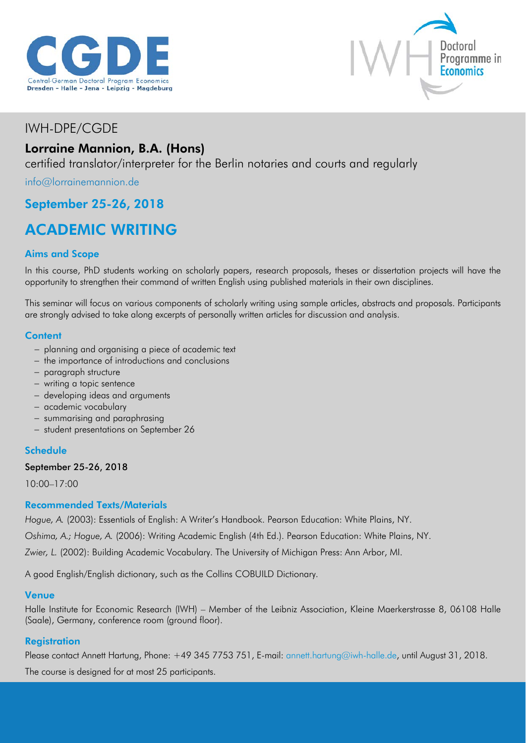



## IWH-DPE/CGDE

## Lorraine Mannion, B.A. (Hons)

certified translator/interpreter for the Berlin notaries and courts and regularly

[info@lorrainemannion.de](mailto:info@lorrainemannion.de)

## September 25-26, 2018

# ACADEMIC WRITING

### Aims and Scope

In this course, PhD students working on scholarly papers, research proposals, theses or dissertation projects will have the opportunity to strengthen their command of written English using published materials in their own disciplines.

This seminar will focus on various components of scholarly writing using sample articles, abstracts and proposals. Participants are strongly advised to take along excerpts of personally written articles for discussion and analysis.

#### **Content**

- − planning and organising a piece of academic text
- − the importance of introductions and conclusions
- − paragraph structure
- − writing a topic sentence
- − developing ideas and arguments
- − academic vocabulary
- − summarising and paraphrasing
- − student presentations on September 26

#### **Schedule**

#### September 25-26, 2018

10:00–17:00

#### Recommended Texts/Materials

*Hogue, A.* (2003): Essentials of English: A Writer's Handbook. Pearson Education: White Plains, NY.

*Oshima, A.; Hogue, A.* (2006): Writing Academic English (4th Ed.). Pearson Education: White Plains, NY.

*Zwier, L.* (2002): Building Academic Vocabulary. The University of Michigan Press: Ann Arbor, MI.

A good English/English dictionary, such as the Collins COBUILD Dictionary.

#### Venue

Halle Institute for Economic Research (IWH) – Member of the Leibniz Association, Kleine Maerkerstrasse 8, 06108 Halle (Saale), Germany, conference room (ground floor).

#### **Registration**

Please contact Annett Hartung, Phone: +49 345 7753 751, E-mail: [annett.hartung@iwh-halle.de,](mailto:annett.hartung@iwh-halle.de) until August 31, 2018.

The course is designed for at most 25 participants.